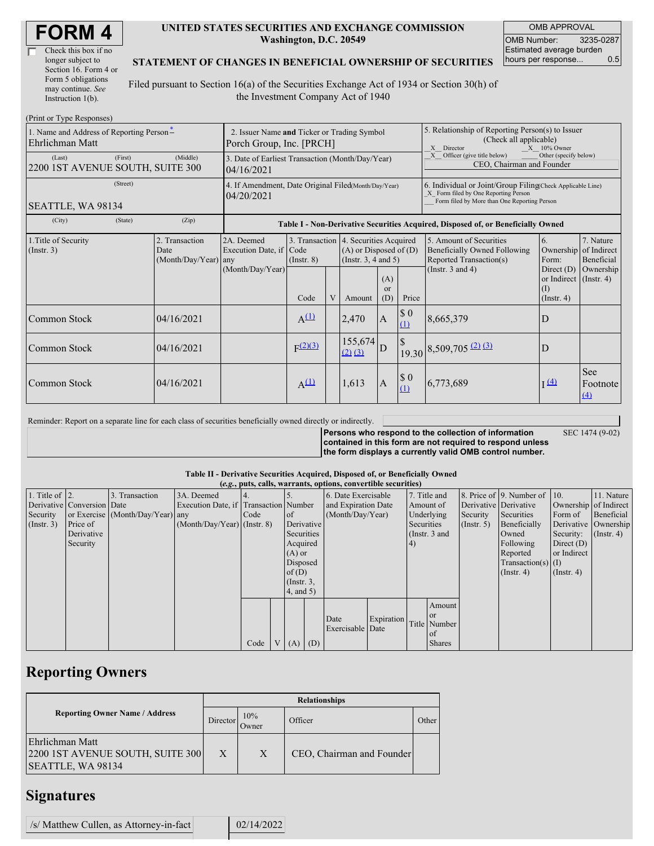| Check this box if no  |
|-----------------------|
| longer subject to     |
| Section 16. Form 4 or |
| Form 5 obligations    |
| may continue. See     |
| Instruction 1(b).     |

#### **UNITED STATES SECURITIES AND EXCHANGE COMMISSION Washington, D.C. 20549**

OMB APPROVAL OMB Number: 3235-0287 Estimated average burden hours per response... 0.5

### **STATEMENT OF CHANGES IN BENEFICIAL OWNERSHIP OF SECURITIES**

Filed pursuant to Section 16(a) of the Securities Exchange Act of 1934 or Section 30(h) of the Investment Company Act of 1940

| (Print or Type Responses)                                   |                                                                         |                                                                                                                                                    |              |   |                                                                                                 |                             |                                                                                                              |                                                                                                                                                    |                                                                       |                                                     |  |
|-------------------------------------------------------------|-------------------------------------------------------------------------|----------------------------------------------------------------------------------------------------------------------------------------------------|--------------|---|-------------------------------------------------------------------------------------------------|-----------------------------|--------------------------------------------------------------------------------------------------------------|----------------------------------------------------------------------------------------------------------------------------------------------------|-----------------------------------------------------------------------|-----------------------------------------------------|--|
| 1. Name and Address of Reporting Person-<br>Ehrlichman Matt | 2. Issuer Name and Ticker or Trading Symbol<br>Porch Group, Inc. [PRCH] |                                                                                                                                                    |              |   |                                                                                                 |                             | 5. Relationship of Reporting Person(s) to Issuer<br>(Check all applicable)<br>$X = 10\%$ Owner<br>X Director |                                                                                                                                                    |                                                                       |                                                     |  |
| (First)<br>(Last)<br>2200 IST AVENUE SOUTH, SUITE 300       | (Middle)                                                                | Officer (give title below)<br>Other (specify below)<br>3. Date of Earliest Transaction (Month/Day/Year)<br>CEO, Chairman and Founder<br>04/16/2021 |              |   |                                                                                                 |                             |                                                                                                              |                                                                                                                                                    |                                                                       |                                                     |  |
| (Street)<br>SEATTLE, WA 98134                               |                                                                         | 4. If Amendment, Date Original Filed(Month/Day/Year)<br>04/20/2021                                                                                 |              |   |                                                                                                 |                             |                                                                                                              | 6. Individual or Joint/Group Filing(Check Applicable Line)<br>X Form filed by One Reporting Person<br>Form filed by More than One Reporting Person |                                                                       |                                                     |  |
| (City)<br>(State)                                           | (Zip)                                                                   | Table I - Non-Derivative Securities Acquired, Disposed of, or Beneficially Owned                                                                   |              |   |                                                                                                 |                             |                                                                                                              |                                                                                                                                                    |                                                                       |                                                     |  |
| 1. Title of Security<br>$($ Instr. 3 $)$                    | 2. Transaction<br>Date<br>(Month/Day/Year) any                          | 2A. Deemed<br>Execution Date, if Code<br>(Month/Day/Year)                                                                                          | (Insert, 8)  |   | 3. Transaction 4. Securities Acquired<br>$(A)$ or Disposed of $(D)$<br>(Instr. $3, 4$ and $5$ ) |                             |                                                                                                              | 5. Amount of Securities<br><b>Beneficially Owned Following</b><br>Reported Transaction(s)<br>(Instr. $3$ and $4$ )                                 | 6.<br>Ownership<br>Form:<br>Direct $(D)$<br>or Indirect $($ Instr. 4) | 7. Nature<br>of Indirect<br>Beneficial<br>Ownership |  |
|                                                             |                                                                         |                                                                                                                                                    | Code         | V | Amount                                                                                          | (A)<br><sub>or</sub><br>(D) | Price                                                                                                        |                                                                                                                                                    | (I)<br>$($ Instr. 4 $)$                                               |                                                     |  |
| Common Stock                                                | 04/16/2021                                                              |                                                                                                                                                    | $A^{(1)}$    |   | 2,470                                                                                           | $\mathbf{A}$                | $\$$ 0<br>(1)                                                                                                | 8,665,379                                                                                                                                          | D                                                                     |                                                     |  |
| Common Stock                                                | 04/16/2021                                                              |                                                                                                                                                    | $F^{(2)(3)}$ |   | 155,674<br>$(2)$ $(3)$                                                                          | ID                          |                                                                                                              | $19.30\,8,509,705\,\frac{(2)}{13}$                                                                                                                 | D                                                                     |                                                     |  |
| Common Stock                                                | 04/16/2021                                                              |                                                                                                                                                    | $A^{(1)}$    |   | 1,613                                                                                           | $\bf{A}$                    | \$0<br>(1)                                                                                                   | 6,773,689                                                                                                                                          | $\mathbf{I} \stackrel{(4)}{=}$                                        | <b>See</b><br>Footnote<br>$\Delta$                  |  |

Reminder: Report on a separate line for each class of securities beneficially owned directly or indirectly.

SEC 1474 (9-02)

**Persons who respond to the collection of information contained in this form are not required to respond unless the form displays a currently valid OMB control number.**

### **Table II - Derivative Securities Acquired, Disposed of, or Beneficially Owned**

|                        | (e.g., puts, calls, warrants, options, convertible securities) |                                  |                                       |      |              |                  |  |                                |                     |              |               |                       |                              |                       |            |
|------------------------|----------------------------------------------------------------|----------------------------------|---------------------------------------|------|--------------|------------------|--|--------------------------------|---------------------|--------------|---------------|-----------------------|------------------------------|-----------------------|------------|
| 1. Title of $\vert$ 2. |                                                                | 3. Transaction                   | 3A. Deemed                            |      |              |                  |  | 6. Date Exercisable            |                     |              | 7. Title and  |                       | 8. Price of 9. Number of 10. |                       | 11. Nature |
|                        | Derivative Conversion Date                                     |                                  | Execution Date, if Transaction Number |      |              |                  |  |                                | and Expiration Date |              | Amount of     | Derivative Derivative |                              | Ownership of Indirect |            |
| Security               |                                                                | or Exercise (Month/Day/Year) any |                                       | Code |              | $\circ$ f        |  | (Month/Day/Year)<br>Underlying |                     |              | Security      | Securities            | Form of                      | Beneficial            |            |
| (Insert. 3)            | Price of                                                       |                                  | $(Month/Day/Year)$ (Instr. 8)         |      |              | Derivative       |  | Securities<br>$($ Instr. 5 $)$ |                     | Beneficially |               | Derivative Ownership  |                              |                       |            |
|                        | Derivative                                                     |                                  |                                       |      |              | Securities       |  | (Instr. $3$ and                |                     | Owned        | Security:     | $($ Instr. 4)         |                              |                       |            |
|                        | Security                                                       |                                  |                                       |      | Acquired     |                  |  |                                |                     | (4)          |               |                       | Following                    | Direct $(D)$          |            |
|                        |                                                                |                                  |                                       |      |              | $(A)$ or         |  |                                |                     |              |               | Reported              | or Indirect                  |                       |            |
|                        |                                                                |                                  |                                       |      | Disposed     |                  |  |                                |                     |              |               |                       | Transaction(s) $(I)$         |                       |            |
|                        |                                                                |                                  |                                       |      |              | of(D)            |  |                                |                     |              |               |                       | $($ Instr. 4 $)$             | $($ Instr. 4 $)$      |            |
|                        |                                                                |                                  |                                       |      |              | $($ Instr. $3$ , |  |                                |                     |              |               |                       |                              |                       |            |
|                        |                                                                |                                  |                                       |      |              | $4$ , and $5$ )  |  |                                |                     |              |               |                       |                              |                       |            |
|                        |                                                                |                                  |                                       |      |              |                  |  |                                |                     |              | Amount        |                       |                              |                       |            |
|                        |                                                                |                                  |                                       |      |              |                  |  |                                |                     |              | <sub>or</sub> |                       |                              |                       |            |
|                        |                                                                |                                  |                                       |      |              |                  |  | Date                           | Expiration          |              | Title Number  |                       |                              |                       |            |
|                        |                                                                |                                  |                                       |      |              |                  |  | Exercisable Date               |                     |              | <sub>of</sub> |                       |                              |                       |            |
|                        |                                                                |                                  |                                       | Code | $\mathbf{V}$ | $(A)$ $(D)$      |  |                                |                     |              | <b>Shares</b> |                       |                              |                       |            |

# **Reporting Owners**

|                                                                          | <b>Relationships</b> |              |                           |       |  |  |  |  |  |
|--------------------------------------------------------------------------|----------------------|--------------|---------------------------|-------|--|--|--|--|--|
| <b>Reporting Owner Name / Address</b>                                    | Director             | 10%<br>Owner | Officer                   | Other |  |  |  |  |  |
| Ehrlichman Matt<br>2200 IST AVENUE SOUTH, SUITE 300<br>SEATTLE, WA 98134 | X                    | X            | CEO, Chairman and Founder |       |  |  |  |  |  |

## **Signatures**

 $/s$  Matthew Cullen, as Attorney-in-fact  $\vert$  02/14/2022